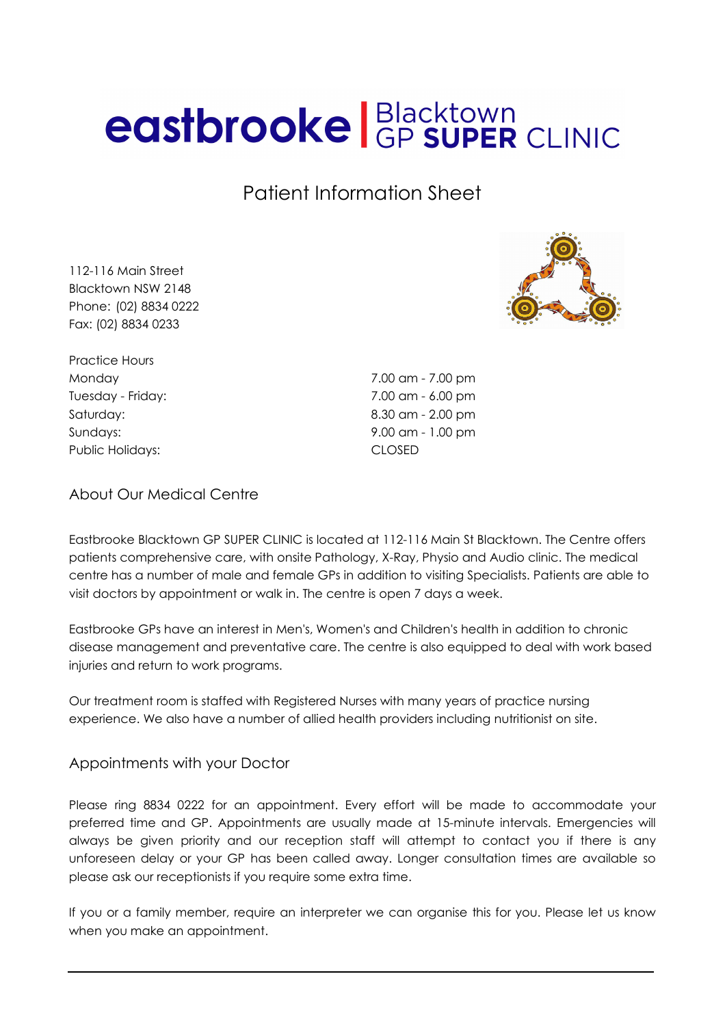# eastbrooke **Blacktown**<br>GP SUPER CLINIC

Patient Information Sheet

112-116 Main Street Blacktown NSW 2148 Phone: (02) 8834 0222 Fax: (02) 8834 0233



Practice Hours Public Holidays: CLOSED

Monday 7.00 am - 7.00 pm Tuesday - Friday: 7.00 am - 6.00 pm Saturday: 8.30 am - 2.00 pm Sundays: 9.00 am - 1.00 pm

#### About Our Medical Centre

Eastbrooke Blacktown GP SUPER CLINIC is located at 112-116 Main St Blacktown. The Centre offers patients comprehensive care, with onsite Pathology, X-Ray, Physio and Audio clinic. The medical centre has a number of male and female GPs in addition to visiting Specialists. Patients are able to visit doctors by appointment or walk in. The centre is open 7 days a week.

Eastbrooke GPs have an interest in Men's, Women's and Children's health in addition to chronic disease management and preventative care. The centre is also equipped to deal with work based injuries and return to work programs.

Our treatment room is staffed with Registered Nurses with many years of practice nursing experience. We also have a number of allied health providers including nutritionist on site.

#### Appointments with your Doctor

Please ring 8834 0222 for an appointment. Every effort will be made to accommodate your preferred time and GP. Appointments are usually made at 15-minute intervals. Emergencies will always be given priority and our reception staff will attempt to contact you if there is any unforeseen delay or your GP has been called away. Longer consultation times are available so please ask our receptionists if you require some extra time.

If you or a family member, require an interpreter we can organise this for you. Please let us know when you make an appointment.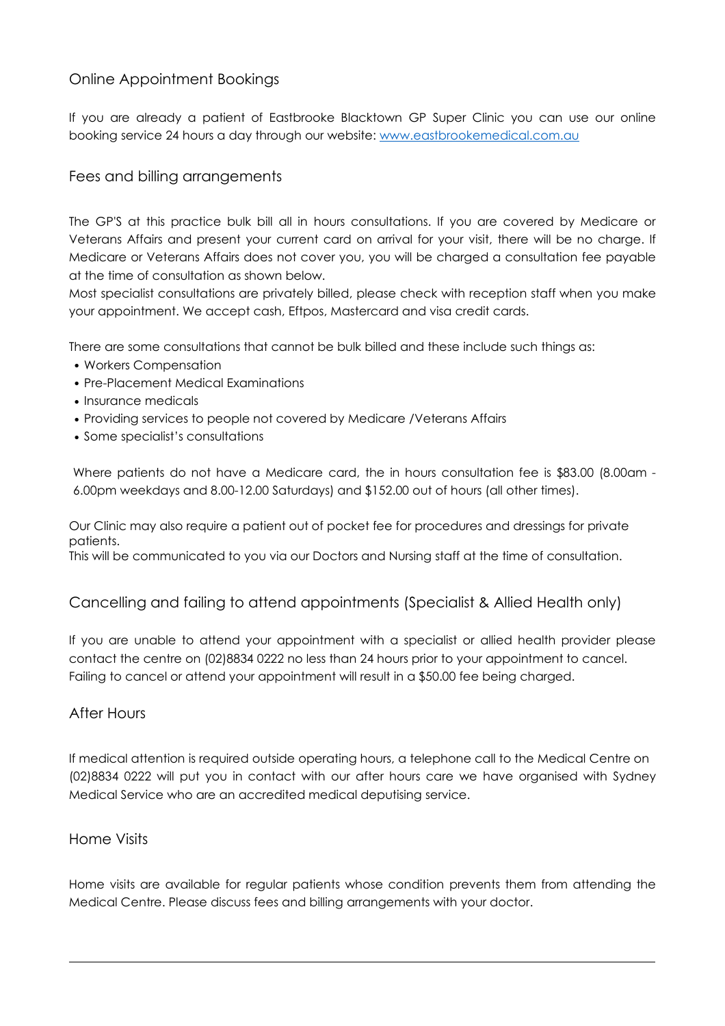# Online Appointment Bookings

If you are already a patient of Eastbrooke Blacktown GP Super Clinic you can use our online booking service 24 hours a day through our website: [www.eastbrookemedical.com.au](http://www.eastbrookemedical.com.au/)

## Fees and billing arrangements

The GP'S at this practice bulk bill all in hours consultations. If you are covered by Medicare or Veterans Affairs and present your current card on arrival for your visit, there will be no charge. If Medicare or Veterans Affairs does not cover you, you will be charged a consultation fee payable at the time of consultation as shown below.

Most specialist consultations are privately billed, please check with reception staff when you make your appointment. We accept cash, Eftpos, Mastercard and visa credit cards.

There are some consultations that cannot be bulk billed and these include such things as:

- Workers Compensation
- Pre-Placement Medical Examinations
- Insurance medicals
- Providing services to people not covered by Medicare /Veterans Affairs
- Some specialist's consultations

Where patients do not have a Medicare card, the in hours consultation fee is \$83.00 (8.00am - 6.00pm weekdays and 8.00-12.00 Saturdays) and \$152.00 out of hours (all other times).

Our Clinic may also require a patient out of pocket fee for procedures and dressings for private patients.

This will be communicated to you via our Doctors and Nursing staff at the time of consultation.

# Cancelling and failing to attend appointments (Specialist & Allied Health only)

If you are unable to attend your appointment with a specialist or allied health provider please contact the centre on (02)8834 0222 no less than 24 hours prior to your appointment to cancel. Failing to cancel or attend your appointment will result in a \$50.00 fee being charged.

#### After Hours

If medical attention is required outside operating hours, a telephone call to the Medical Centre on (02)8834 0222 will put you in contact with our after hours care we have organised with Sydney Medical Service who are an accredited medical deputising service.

#### Home Visits

Home visits are available for regular patients whose condition prevents them from attending the Medical Centre. Please discuss fees and billing arrangements with your doctor.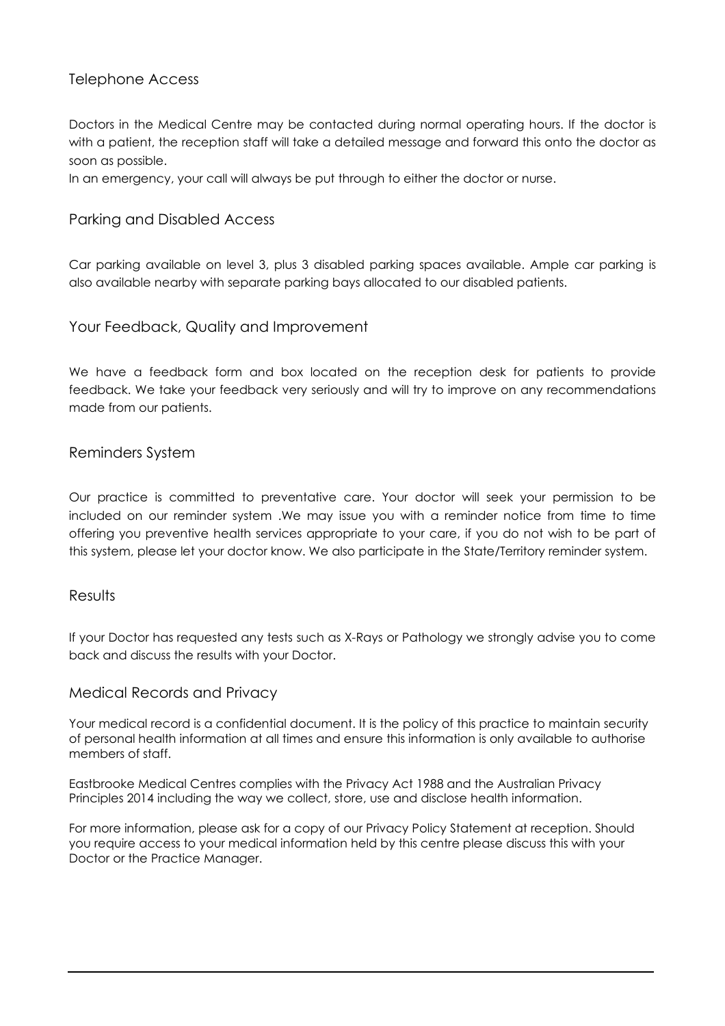# Telephone Access

Doctors in the Medical Centre may be contacted during normal operating hours. If the doctor is with a patient, the reception staff will take a detailed message and forward this onto the doctor as soon as possible.

In an emergency, your call will always be put through to either the doctor or nurse.

#### Parking and Disabled Access

Car parking available on level 3, plus 3 disabled parking spaces available. Ample car parking is also available nearby with separate parking bays allocated to our disabled patients.

#### Your Feedback, Quality and Improvement

We have a feedback form and box located on the reception desk for patients to provide feedback. We take your feedback very seriously and will try to improve on any recommendations made from our patients.

#### Reminders System

Our practice is committed to preventative care. Your doctor will seek your permission to be included on our reminder system .We may issue you with a reminder notice from time to time offering you preventive health services appropriate to your care, if you do not wish to be part of this system, please let your doctor know. We also participate in the State/Territory reminder system.

#### **Results**

If your Doctor has requested any tests such as X-Rays or Pathology we strongly advise you to come back and discuss the results with your Doctor.

#### Medical Records and Privacy

Your medical record is a confidential document. It is the policy of this practice to maintain security of personal health information at all times and ensure this information is only available to authorise members of staff.

Eastbrooke Medical Centres complies with the Privacy Act 1988 and the Australian Privacy Principles 2014 including the way we collect, store, use and disclose health information.

For more information, please ask for a copy of our Privacy Policy Statement at reception. Should you require access to your medical information held by this centre please discuss this with your Doctor or the Practice Manager.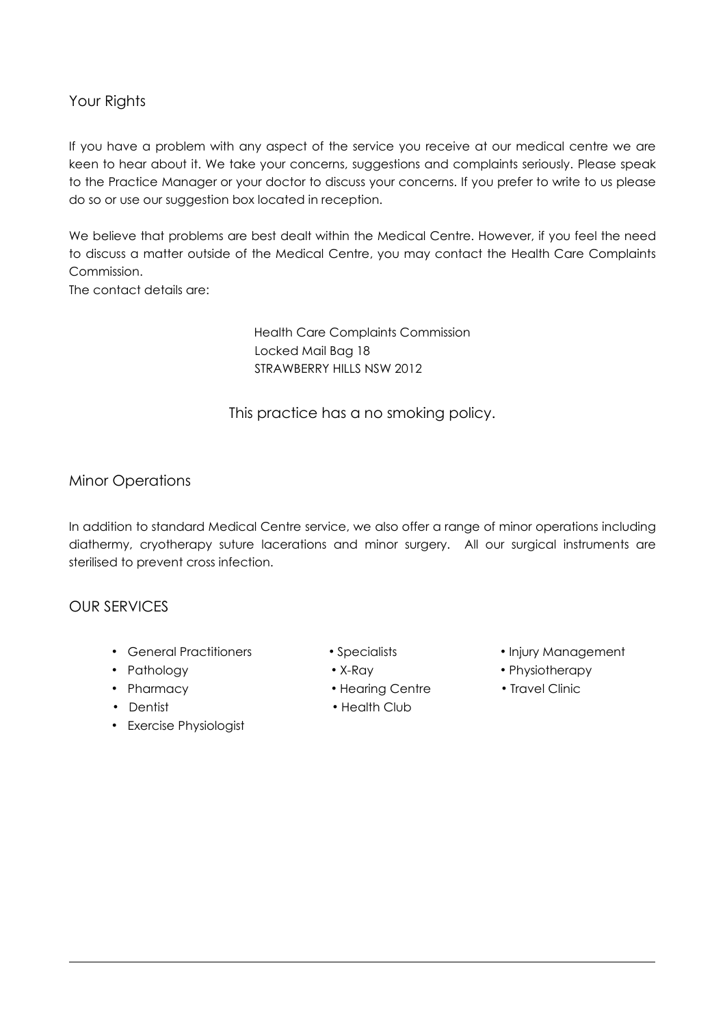# Your Riahts

If you have a problem with any aspect of the service you receive at our medical centre we are keen to hear about it. We take your concerns, suggestions and complaints seriously. Please speak to the Practice Manager or your doctor to discuss your concerns. If you prefer to write to us please do so or use our suggestion box located in reception.

We believe that problems are best dealt within the Medical Centre. However, if you feel the need to discuss a matter outside of the Medical Centre, you may contact the Health Care Complaints Commission.

The contact details are:

Health Care Complaints Commission Locked Mail Bag 18 STRAWBERRY HILLS NSW 2012

This practice has a no smoking policy.

## Minor Operations

In addition to standard Medical Centre service, we also offer a range of minor operations including diathermy, cryotherapy suture lacerations and minor surgery. All our surgical instruments are sterilised to prevent cross infection.

### OUR SERVICES

- General Practitioners • Specialists • • Injury Management
- 
- 
- 
- Exercise Physiologist
- 
- 
- Pharmacy Hearing Centre Travel Clinic
- Dentist Health Club
- 
- Pathology X-Ray Physiotherapy
	-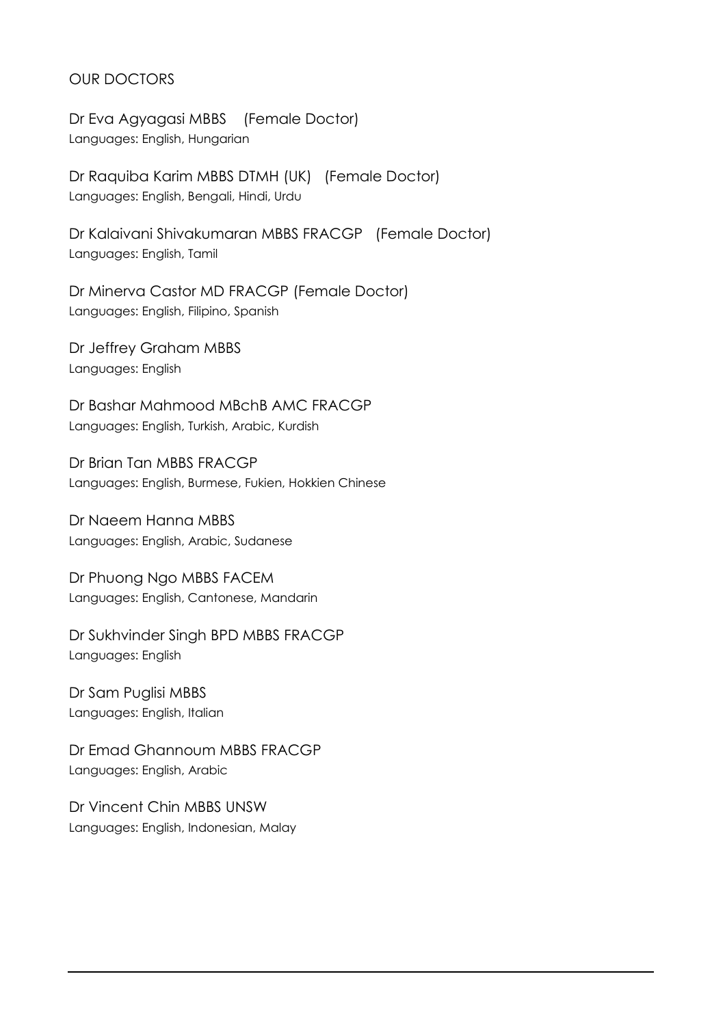# OUR DOCTORS

Dr Eva Agyagasi MBBS (Female Doctor) Languages: English, Hungarian

Dr Raquiba Karim MBBS DTMH (UK) (Female Doctor) Languages: English, Bengali, Hindi, Urdu

Dr Kalaivani Shivakumaran MBBS FRACGP (Female Doctor) Languages: English, Tamil

Dr Minerva Castor MD FRACGP (Female Doctor) Languages: English, Filipino, Spanish

Dr Jeffrey Graham MBBS Languages: English

Dr Bashar Mahmood MBchB AMC FRACGP Languages: English, Turkish, Arabic, Kurdish

Dr Brian Tan MBBS FRACGP Languages: English, Burmese, Fukien, Hokkien Chinese

Dr Naeem Hanna MBBS Languages: English, Arabic, Sudanese

Dr Phuong Ngo MBBS FACEM Languages: English, Cantonese, Mandarin

Dr Sukhvinder Singh BPD MBBS FRACGP Languages: English

Dr Sam Puglisi MBBS Languages: English, Italian

Dr Emad Ghannoum MBBS FRACGP Languages: English, Arabic

Dr Vincent Chin MBBS UNSW Languages: English, Indonesian, Malay